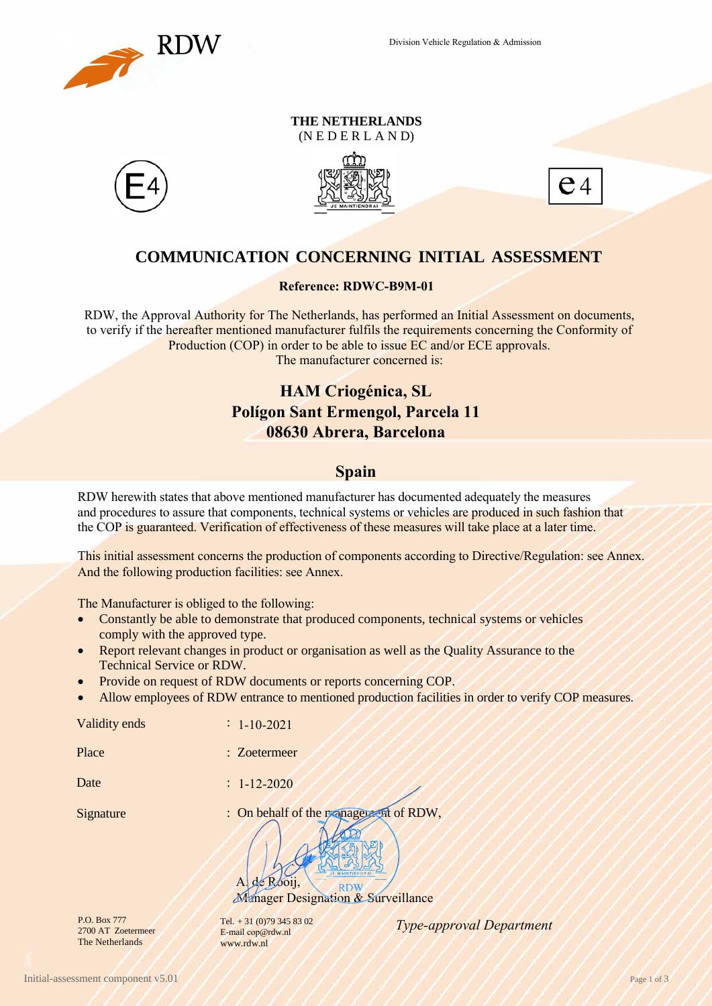

## **THE NETHERLANDS**

(N E D E R L A N D)







## **COMMUNICATION CONCERNING INITIAL ASSESSMENT**

RDW, the Approval Authority for The Netherlands, has performed an Initial Assessment on documents, to verify if the hereafter mentioned manufacturer fulfils the requirements concerning the Conformity of Production (COP) in order to be able to issue EC and/or ECE approvals. The manufacturer concerned is:

# **08630 Abrera, Barcelona**

RDW herewith states that above mentioned manufacturer has documented adequately the measures and procedures to assure that components, technical systems or vehicles are produced in such fashion that the COP is guaranteed. Verification of effectiveness of these measures will take place at a later time.

This initial assessment concerns the production of components according to Directive/Regulation: see Annex. And the following production facilities: see Annex.

- Constantly be able to demonstrate that produced components, technical systems or vehicles comply with the approved type.
- Report relevant changes in product or organisation as well as the Quality Assurance to the Technical Service or RDW.
- Provide on request of RDW documents or reports concerning COP.
- Allow employees of RDW entrance to mentioned production facilities in order to verify COP measures.

|                                                                    | <b>Reference: RDWC-B9M-01</b>                                                                                                                                                                                                                                                                                                                           |  |  |  |
|--------------------------------------------------------------------|---------------------------------------------------------------------------------------------------------------------------------------------------------------------------------------------------------------------------------------------------------------------------------------------------------------------------------------------------------|--|--|--|
|                                                                    | RDW, the Approval Authority for The Netherlands, has performed an Initial<br>to verify if the hereafter mentioned manufacturer fulfils the requirements con<br>Production (COP) in order to be able to issue EC and/or ECE<br>The manufacturer concerned is:                                                                                            |  |  |  |
|                                                                    | <b>HAM Criogénica, SL</b>                                                                                                                                                                                                                                                                                                                               |  |  |  |
|                                                                    | <b>Polígon Sant Ermengol, Parcela 11</b><br>08630 Abrera, Barcelona                                                                                                                                                                                                                                                                                     |  |  |  |
|                                                                    | <b>Spain</b>                                                                                                                                                                                                                                                                                                                                            |  |  |  |
|                                                                    | RDW herewith states that above mentioned manufacturer has documented adeq<br>and procedures to assure that components, technical systems or vehicles are pro-<br>the COP is guaranteed. Verification of effectiveness of these measures will take                                                                                                       |  |  |  |
|                                                                    | This initial assessment concerns the production of components according to Dir<br>And the following production facilities: see Annex.                                                                                                                                                                                                                   |  |  |  |
| comply with the approved type.<br><b>Technical Service or RDW.</b> | The Manufacturer is obliged to the following:<br>Constantly be able to demonstrate that produced components, technical sy<br>Report relevant changes in product or organisation as well as the Quality A<br>Provide on request of RDW documents or reports concerning COP.<br>Allow employees of RDW entrance to mentioned production facilities in ord |  |  |  |
| Validity ends                                                      | $1 - 10 - 2021$                                                                                                                                                                                                                                                                                                                                         |  |  |  |
| Place                                                              | : Zoetermeer                                                                                                                                                                                                                                                                                                                                            |  |  |  |
| Date                                                               | $1 - 12 - 2020$                                                                                                                                                                                                                                                                                                                                         |  |  |  |
| Signature                                                          | : On behalf of the reanage and of RDW,<br>R <sub>boii</sub><br>$\overline{A}$<br>ok                                                                                                                                                                                                                                                                     |  |  |  |

RDW **Manager Designation & Surveillance** 

P.O. Box 777 2700 AT Zoetermeer The Netherlands

E-mail cop@rdw.nl www.rdw.nl

*Type-approval Department* Tel. + 31 (0)79 345 83 02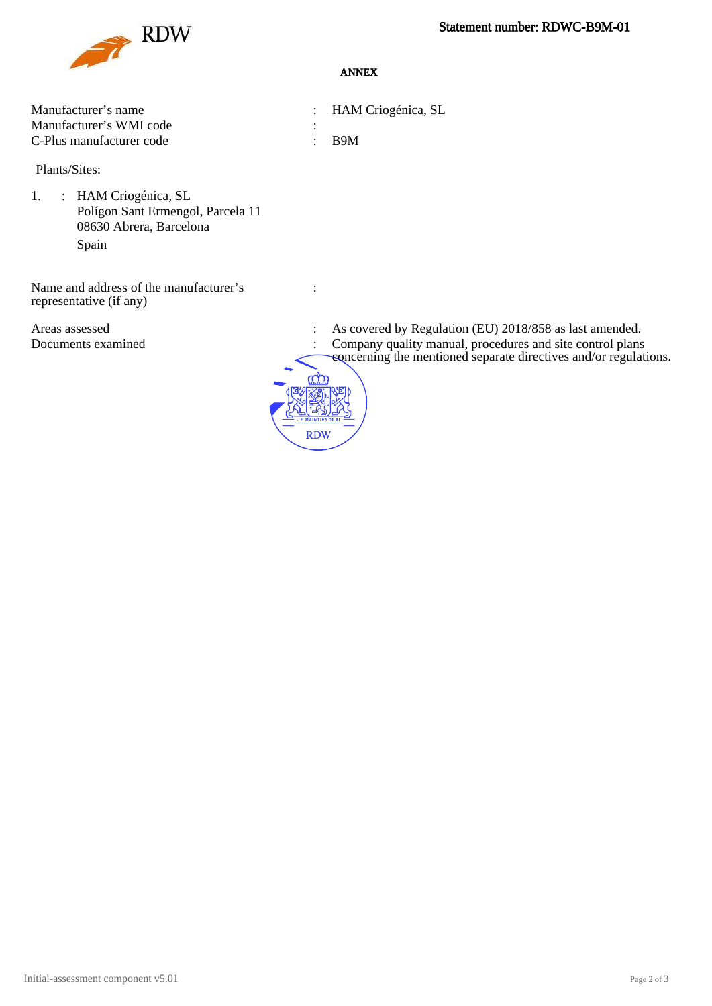

### ANNEX

| Manufacturer's name      | : HAM Criogénica, SL |
|--------------------------|----------------------|
| Manufacturer's WMI code  |                      |
| C-Plus manufacturer code | $\cdot$ R9M          |

Plants/Sites:

1. : HAM Criogénica, SL Polígon Sant Ermengol, Parcela 11 08630 Abrera, Barcelona Spain

Name and address of the manufacturer's representative (if any)

**RDW** 

:

- Areas assessed : As covered by Regulation (EU) 2018/858 as last amended.
- Documents examined : Company quality manual, procedures and site control plans
	- concerning the mentioned separate directives and/or regulations.